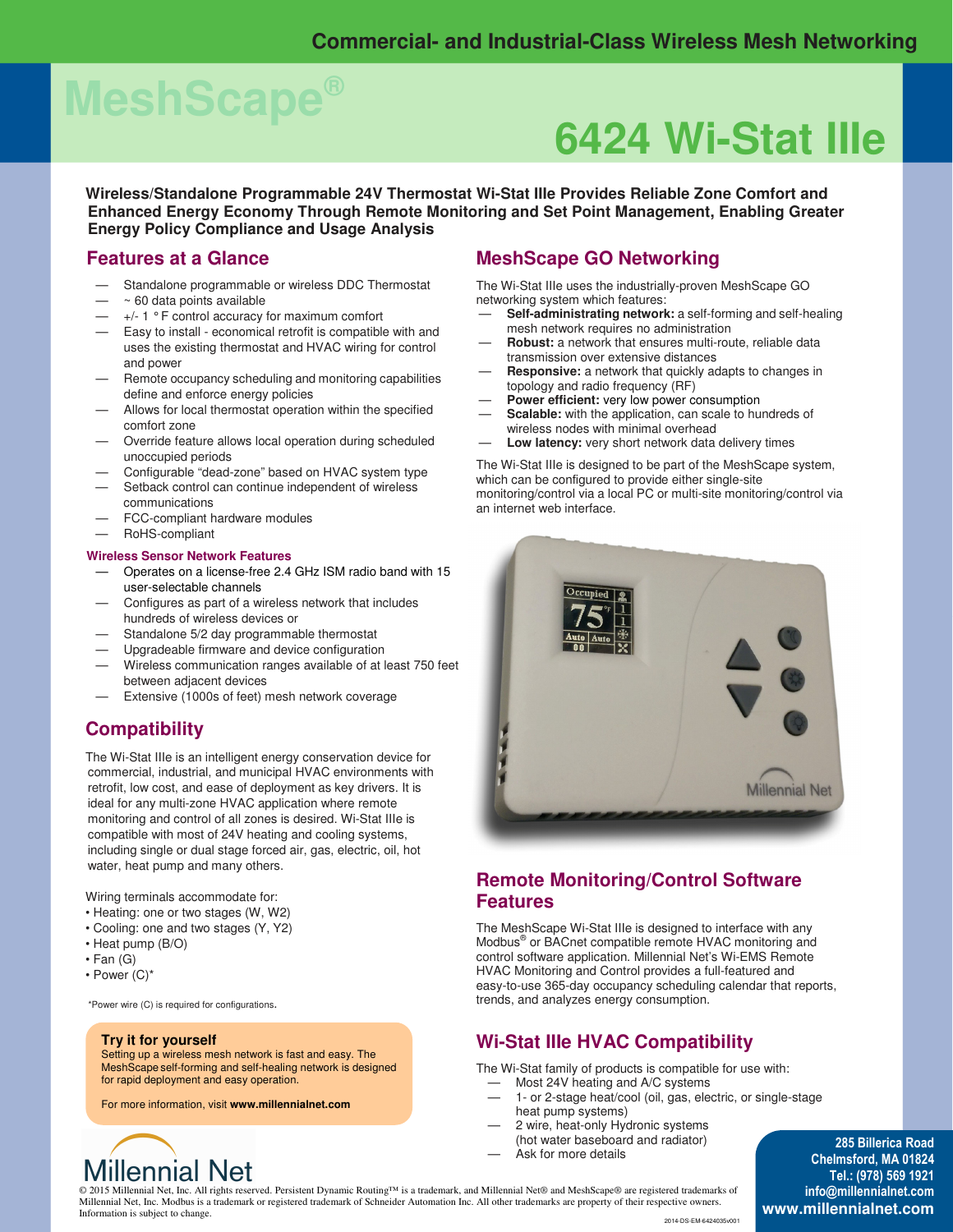# **MeshScape®**

## **6424 Wi-Stat IIIe**

**Wireless/Standalone Programmable 24V Thermostat Wi-Stat IIIe Provides Reliable Zone Comfort and Enhanced Energy Economy Through Remote Monitoring and Set Point Management, Enabling Greater Energy Policy Compliance and Usage Analysis** 

#### **Features at a Glance**

- Standalone programmable or wireless DDC Thermostat
- $-$  ~ 60 data points available
- $-$  +/- 1  $\degree$  F control accuracy for maximum comfort
- Easy to install economical retrofit is compatible with and uses the existing thermostat and HVAC wiring for control and power
- Remote occupancy scheduling and monitoring capabilities define and enforce energy policies
- Allows for local thermostat operation within the specified comfort zone
- Override feature allows local operation during scheduled unoccupied periods
- Configurable "dead-zone" based on HVAC system type
- Setback control can continue independent of wireless communications
- FCC-compliant hardware modules
- RoHS-compliant

#### **Wireless Sensor Network Features**

- Operates on a license-free 2.4 GHz ISM radio band with 15 user-selectable channels
- Configures as part of a wireless network that includes hundreds of wireless devices or
- Standalone 5/2 day programmable thermostat
- Upgradeable firmware and device configuration
- Wireless communication ranges available of at least 750 feet between adjacent devices
- Extensive (1000s of feet) mesh network coverage

### **Compatibility**

The Wi-Stat IIIe is an intelligent energy conservation device for commercial, industrial, and municipal HVAC environments with retrofit, low cost, and ease of deployment as key drivers. It is ideal for any multi-zone HVAC application where remote monitoring and control of all zones is desired. Wi-Stat IIIe is compatible with most of 24V heating and cooling systems, including single or dual stage forced air, gas, electric, oil, hot water, heat pump and many others.

Wiring terminals accommodate for:

- Heating: one or two stages (W, W2)
- Cooling: one and two stages (Y, Y2)
- Heat pump (B/O)
- Fan (G)
- Power (C)\*

\*Power wire (C) is required for configurations.

#### **Try it for yourself**

Setting up a wireless mesh network is fast and easy. The MeshScape self-forming and self-healing network is designed for rapid deployment and easy operation.

For more information, visit **www.millennialnet.com**

#### **MeshScape GO Networking**

The Wi-Stat IIIe uses the industrially-proven MeshScape GO networking system which features:

- **Self-administrating network:** a self-forming and self-healing mesh network requires no administration
- **Robust:** a network that ensures multi-route, reliable data transmission over extensive distances
- **Responsive:** a network that quickly adapts to changes in topology and radio frequency (RF)
- **Power efficient:** very low power consumption
- Scalable: with the application, can scale to hundreds of wireless nodes with minimal overhead
- Low latency: very short network data delivery times

The Wi-Stat IIIe is designed to be part of the MeshScape system, which can be configured to provide either single-site monitoring/control via a local PC or multi-site monitoring/control via an internet web interface.



### **Remote Monitoring/Control Software Features**

The MeshScape Wi-Stat IIIe is designed to interface with any Modbus® or BACnet compatible remote HVAC monitoring and control software application. Millennial Net's Wi-EMS Remote HVAC Monitoring and Control provides a full-featured and easy-to-use 365-day occupancy scheduling calendar that reports, trends, and analyzes energy consumption.

### **Wi-Stat IIIe HVAC Compatibility**

The Wi-Stat family of products is compatible for use with:

- Most 24V heating and A/C systems
- 1- or 2-stage heat/cool (oil, gas, electric, or single-stage heat pump systems)
- 2 wire, heat-only Hydronic systems (hot water baseboard and radiator)
- Ask for more details

**285 Billerica Road Chelmsford, MA 01824 Tel.: (978) 569 1921 info@millennialnet.com www.millennialnet.com**

### **Millennial Net**

© 2015 Millennial Net, Inc. All rights reserved. Persistent Dynamic Routing™ is a trademark, and Millennial Net® and MeshScape® are registered trademarks of Millennial Net, Inc. Modbus is a trademark or registered trademark of Schneider Automation Inc. All other trademarks are property of their respective owners. Information is subject to change.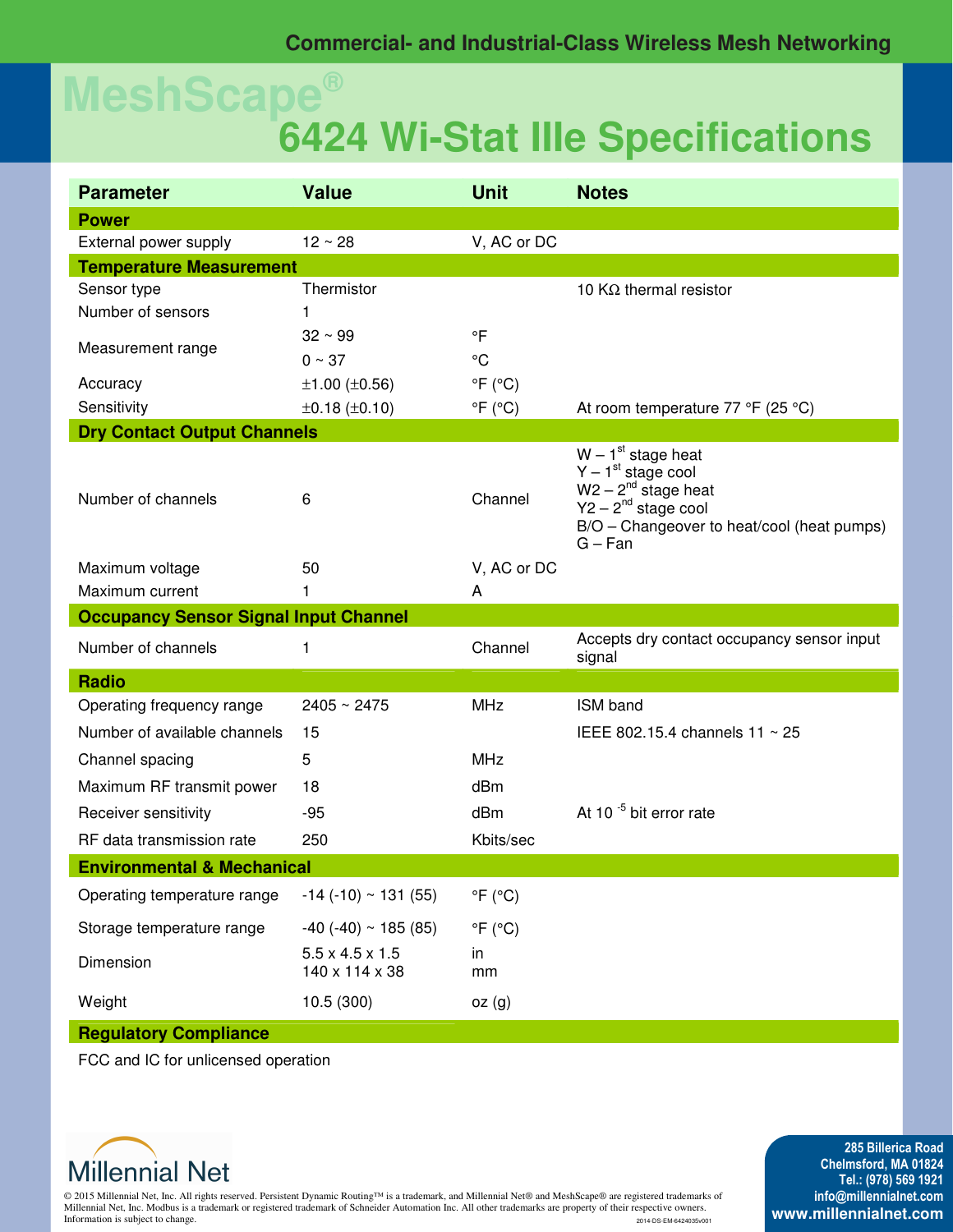## **MeshScape® 6424 Wi-Stat IIIe Specifications**

| <b>Parameter</b>                             | <b>Value</b>                                  | <b>Unit</b>               | <b>Notes</b>                                                                                                                                                    |
|----------------------------------------------|-----------------------------------------------|---------------------------|-----------------------------------------------------------------------------------------------------------------------------------------------------------------|
| <b>Power</b>                                 |                                               |                           |                                                                                                                                                                 |
| External power supply                        | $12 \sim 28$                                  | V, AC or DC               |                                                                                                                                                                 |
| <b>Temperature Measurement</b>               |                                               |                           |                                                                                                                                                                 |
| Sensor type                                  | Thermistor                                    |                           | 10 $K\Omega$ thermal resistor                                                                                                                                   |
| Number of sensors                            | 1                                             |                           |                                                                                                                                                                 |
| Measurement range                            | $32 \sim 99$                                  | $\circ$ F                 |                                                                                                                                                                 |
|                                              | $0 \sim 37$                                   | $\rm ^{\circ}C$           |                                                                                                                                                                 |
| Accuracy                                     | $±1.00$ ( $±0.56$ )                           | $\mathrm{P}F(\mathrm{C})$ |                                                                                                                                                                 |
| Sensitivity                                  | $\pm 0.18$ ( $\pm 0.10$ )                     | $\mathrm{P}F(\mathrm{C})$ | At room temperature 77 °F (25 °C)                                                                                                                               |
| <b>Dry Contact Output Channels</b>           |                                               |                           |                                                                                                                                                                 |
| Number of channels                           | 6                                             | Channel                   | $W - 1st$ stage heat<br>$Y - 1st$ stage cool<br>$W2 - 2^{nd}$ stage heat<br>$Y2 - 2^{nd}$ stage cool<br>B/O - Changeover to heat/cool (heat pumps)<br>$G - Fan$ |
| Maximum voltage                              | 50                                            | V, AC or DC               |                                                                                                                                                                 |
| Maximum current                              | 1                                             | A                         |                                                                                                                                                                 |
| <b>Occupancy Sensor Signal Input Channel</b> |                                               |                           |                                                                                                                                                                 |
| Number of channels                           |                                               | Channel                   | Accepts dry contact occupancy sensor input                                                                                                                      |
|                                              | 1                                             |                           | signal                                                                                                                                                          |
| <b>Radio</b>                                 |                                               |                           |                                                                                                                                                                 |
| Operating frequency range                    | $2405 \sim 2475$                              | <b>MHz</b>                | ISM band                                                                                                                                                        |
| Number of available channels                 | 15                                            |                           | IEEE 802.15.4 channels $11 \sim 25$                                                                                                                             |
| Channel spacing                              | 5                                             | <b>MHz</b>                |                                                                                                                                                                 |
| Maximum RF transmit power                    | 18                                            | dBm                       |                                                                                                                                                                 |
| Receiver sensitivity                         | $-95$                                         | dBm                       | At 10 $^{-5}$ bit error rate                                                                                                                                    |
| RF data transmission rate                    | 250                                           | Kbits/sec                 |                                                                                                                                                                 |
| <b>Environmental &amp; Mechanical</b>        |                                               |                           |                                                                                                                                                                 |
| Operating temperature range                  | $-14$ ( $-10$ ) ~ 131 (55)                    | $\mathrm{P}F(\mathrm{C})$ |                                                                                                                                                                 |
| Storage temperature range                    | $-40$ ( $-40$ ) ~ 185 (85)                    | $\mathrm{P}F$ (°C)        |                                                                                                                                                                 |
| Dimension                                    | $5.5 \times 4.5 \times 1.5$<br>140 x 114 x 38 | in<br>mm                  |                                                                                                                                                                 |
| Weight                                       | 10.5(300)                                     | oz(g)                     |                                                                                                                                                                 |

FCC and IC for unlicensed operation



© 2015 Millennial Net, Inc. All rights reserved. Persistent Dynamic Routing™ is a trademark, and Millennial Net® and MeshScape® are registered trademarks of Millennial Net, Inc. Modbus is a trademark or registered trademark of Schneider Automation Inc. All other trademarks are property of their respective owners. Information is subject to change. 2014-DS-EM-6424035v001

**285 Billerica Road Chelmsford, MA 01824 Tel.: (978) 569 1921 info@millennialnet.com www.millennialnet.com**